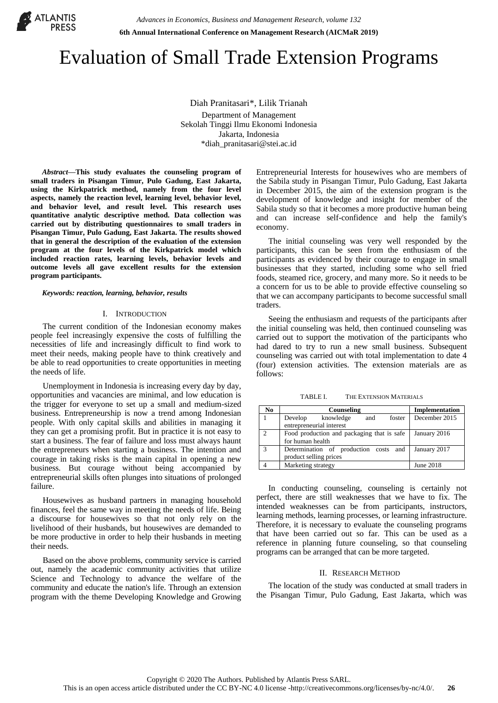

# Evaluation of Small Trade Extension Programs

Diah Pranitasari\*, Lilik Trianah Department of Management Sekolah Tinggi Ilmu Ekonomi Indonesia Jakarta, Indonesia \*diah\_pranitasari@stei.ac.id

*Abstract***—This study evaluates the counseling program of small traders in Pisangan Timur, Pulo Gadung, East Jakarta, using the Kirkpatrick method, namely from the four level aspects, namely the reaction level, learning level, behavior level, and behavior level, and result level. This research uses quantitative analytic descriptive method. Data collection was carried out by distributing questionnaires to small traders in Pisangan Timur, Pulo Gadung, East Jakarta. The results showed that in general the description of the evaluation of the extension program at the four levels of the Kirkpatrick model which included reaction rates, learning levels, behavior levels and outcome levels all gave excellent results for the extension program participants.**

*Keywords: reaction, learning, behavior, results*

#### I. INTRODUCTION

The current condition of the Indonesian economy makes people feel increasingly expensive the costs of fulfilling the necessities of life and increasingly difficult to find work to meet their needs, making people have to think creatively and be able to read opportunities to create opportunities in meeting the needs of life.

Unemployment in Indonesia is increasing every day by day, opportunities and vacancies are minimal, and low education is the trigger for everyone to set up a small and medium-sized business. Entrepreneurship is now a trend among Indonesian people. With only capital skills and abilities in managing it they can get a promising profit. But in practice it is not easy to start a business. The fear of failure and loss must always haunt the entrepreneurs when starting a business. The intention and courage in taking risks is the main capital in opening a new business. But courage without being accompanied by entrepreneurial skills often plunges into situations of prolonged failure.

Housewives as husband partners in managing household finances, feel the same way in meeting the needs of life. Being a discourse for housewives so that not only rely on the livelihood of their husbands, but housewives are demanded to be more productive in order to help their husbands in meeting their needs.

Based on the above problems, community service is carried out, namely the academic community activities that utilize Science and Technology to advance the welfare of the community and educate the nation's life. Through an extension program with the theme Developing Knowledge and Growing Entrepreneurial Interests for housewives who are members of the Sabila study in Pisangan Timur, Pulo Gadung, East Jakarta in December 2015, the aim of the extension program is the development of knowledge and insight for member of the Sabila study so that it becomes a more productive human being and can increase self-confidence and help the family's economy.

The initial counseling was very well responded by the participants, this can be seen from the enthusiasm of the participants as evidenced by their courage to engage in small businesses that they started, including some who sell fried foods, steamed rice, grocery, and many more. So it needs to be a concern for us to be able to provide effective counseling so that we can accompany participants to become successful small traders.

Seeing the enthusiasm and requests of the participants after the initial counseling was held, then continued counseling was carried out to support the motivation of the participants who had dared to try to run a new small business. Subsequent counseling was carried out with total implementation to date 4 (four) extension activities. The extension materials are as follows:

| THE EXTENSION MATERIALS<br>TABLE I. |
|-------------------------------------|
|                                     |

| No.           | Counseling                                 | Implementation |  |  |  |  |  |
|---------------|--------------------------------------------|----------------|--|--|--|--|--|
|               | knowledge<br>Develop<br>and<br>foster      | December 2015  |  |  |  |  |  |
|               | entrepreneurial interest                   |                |  |  |  |  |  |
| $\mathcal{D}$ | Food production and packaging that is safe | January 2016   |  |  |  |  |  |
|               | for human health                           |                |  |  |  |  |  |
| $\mathcal{L}$ | Determination of production costs and      | January 2017   |  |  |  |  |  |
|               | product selling prices                     |                |  |  |  |  |  |
|               | Marketing strategy                         | June 2018      |  |  |  |  |  |

In conducting counseling, counseling is certainly not perfect, there are still weaknesses that we have to fix. The intended weaknesses can be from participants, instructors, learning methods, learning processes, or learning infrastructure. Therefore, it is necessary to evaluate the counseling programs that have been carried out so far. This can be used as a reference in planning future counseling, so that counseling programs can be arranged that can be more targeted.

#### II. RESEARCH METHOD

The location of the study was conducted at small traders in the Pisangan Timur, Pulo Gadung, East Jakarta, which was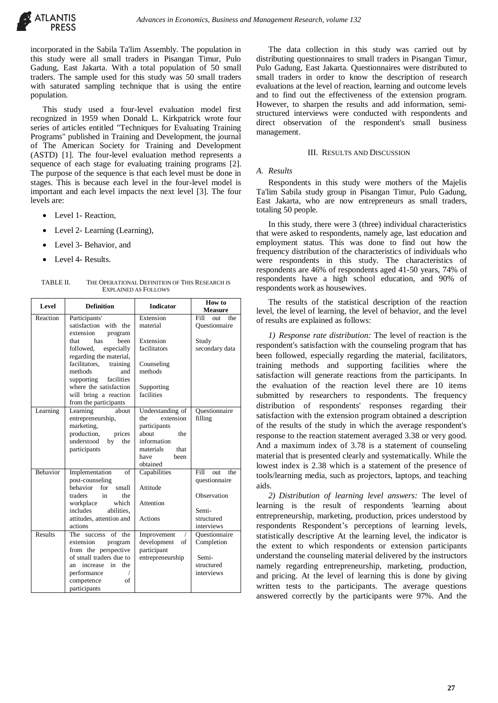

incorporated in the Sabila Ta'lim Assembly. The population in this study were all small traders in Pisangan Timur, Pulo Gadung, East Jakarta. With a total population of 50 small traders. The sample used for this study was 50 small traders with saturated sampling technique that is using the entire population.

This study used a four-level evaluation model first recognized in 1959 when Donald L. Kirkpatrick wrote four series of articles entitled "Techniques for Evaluating Training Programs" published in Training and Development, the journal of The American Society for Training and Development (ASTD) [1]. The four-level evaluation method represents a sequence of each stage for evaluating training programs [2]. The purpose of the sequence is that each level must be done in stages. This is because each level in the four-level model is important and each level impacts the next level [3]. The four levels are:

- Level 1- Reaction,
- Level 2- Learning (Learning),
- Level 3- Behavior, and
- Level 4- Results.

TABLE II. THE OPERATIONAL DEFINITION OF THIS RESEARCH IS EXPLAINED AS FOLLOWS

| Level    | <b>Definition</b>                                  | <b>Indicator</b>                     | How to<br><b>Measure</b>       |
|----------|----------------------------------------------------|--------------------------------------|--------------------------------|
| Reaction | Participants'                                      | Extension                            | Fill<br>$_{\text{out}}$<br>the |
|          | satisfaction with the                              | material                             | Ouestionnaire                  |
|          | extension<br>program                               |                                      |                                |
|          | been<br>that<br>has                                | Extension                            | Study                          |
|          | followed.<br>especially<br>regarding the material, | facilitators                         | secondary data                 |
|          | facilitators,<br>training                          | Counseling                           |                                |
|          | methods<br>and                                     | methods                              |                                |
|          | facilities<br>supporting                           |                                      |                                |
|          | where the satisfaction                             | Supporting                           |                                |
|          | will bring a reaction                              | facilities                           |                                |
|          | from the participants                              |                                      |                                |
| Learning | Learning<br>about<br>entrepreneurship,             | Understanding of<br>extension<br>the | Ouestionnaire<br>filling       |
|          | marketing,                                         | participants                         |                                |
|          | production,<br>prices                              | about<br>the                         |                                |
|          | understood<br>by<br>the                            | information                          |                                |
|          | participants                                       | materials<br>that                    |                                |
|          |                                                    | have<br>heen                         |                                |
|          |                                                    | obtained                             |                                |
| Behavior | Implementation<br>of                               | Capabilities                         | Fill<br>the<br>out             |
|          | post-counseling                                    |                                      | questionnaire                  |
|          | behavior<br>for<br>small                           | Attitude                             |                                |
|          | traders<br>$\overline{\text{in}}$<br>the<br>which  | Attention                            | Observation                    |
|          | workplace<br>includes<br>abilities.                |                                      | Semi-                          |
|          | attitudes, attention and                           | Actions                              | structured                     |
|          | actions                                            |                                      | interviews                     |
| Results  | of the<br>The success                              | Improvement                          | Ouestionnaire                  |
|          | extension<br>program                               | development<br>of                    | Completion                     |
|          | from the perspective                               | participant                          |                                |
|          | of small traders due to                            | entrepreneurship                     | Semi-                          |
|          | increase in the<br>an                              |                                      | structured                     |
|          | performance                                        |                                      | interviews                     |
|          | competence<br>of                                   |                                      |                                |
|          | participants                                       |                                      |                                |

The data collection in this study was carried out by distributing questionnaires to small traders in Pisangan Timur, Pulo Gadung, East Jakarta. Questionnaires were distributed to small traders in order to know the description of research evaluations at the level of reaction, learning and outcome levels and to find out the effectiveness of the extension program. However, to sharpen the results and add information, semistructured interviews were conducted with respondents and direct observation of the respondent's small business management.

# III. RESULTS AND DISCUSSION

#### *A. Results*

Respondents in this study were mothers of the Majelis Ta'lim Sabila study group in Pisangan Timur, Pulo Gadung, East Jakarta, who are now entrepreneurs as small traders, totaling 50 people.

In this study, there were 3 (three) individual characteristics that were asked to respondents, namely age, last education and employment status. This was done to find out how the frequency distribution of the characteristics of individuals who were respondents in this study. The characteristics of respondents are 46% of respondents aged 41-50 years, 74% of respondents have a high school education, and 90% of respondents work as housewives.

The results of the statistical description of the reaction level, the level of learning, the level of behavior, and the level of results are explained as follows:

*1) Response rate distribution:* The level of reaction is the respondent's satisfaction with the counseling program that has been followed, especially regarding the material, facilitators, training methods and supporting facilities where the satisfaction will generate reactions from the participants. In the evaluation of the reaction level there are 10 items submitted by researchers to respondents. The frequency distribution of respondents' responses regarding their satisfaction with the extension program obtained a description of the results of the study in which the average respondent's response to the reaction statement averaged 3.38 or very good. And a maximum index of 3.78 is a statement of counseling material that is presented clearly and systematically. While the lowest index is 2.38 which is a statement of the presence of tools/learning media, such as projectors, laptops, and teaching aids.

*2) Distribution of learning level answers:* The level of learning is the result of respondents 'learning about entrepreneurship, marketing, production, prices understood by respondents Respondent's perceptions of learning levels, statistically descriptive At the learning level, the indicator is the extent to which respondents or extension participants understand the counseling material delivered by the instructors namely regarding entrepreneurship, marketing, production, and pricing. At the level of learning this is done by giving written tests to the participants. The average questions answered correctly by the participants were 97%. And the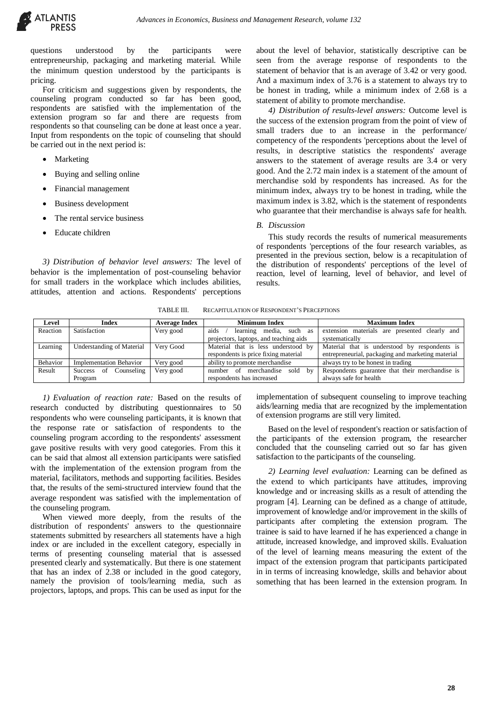

questions understood by the participants were entrepreneurship, packaging and marketing material. While the minimum question understood by the participants is pricing.

For criticism and suggestions given by respondents, the counseling program conducted so far has been good, respondents are satisfied with the implementation of the extension program so far and there are requests from respondents so that counseling can be done at least once a year. Input from respondents on the topic of counseling that should be carried out in the next period is:

- Marketing
- Buying and selling online
- Financial management
- Business development
- The rental service business
- Educate children

*3) Distribution of behavior level answers:* The level of behavior is the implementation of post-counseling behavior for small traders in the workplace which includes abilities, attitudes, attention and actions. Respondents' perceptions

about the level of behavior, statistically descriptive can be seen from the average response of respondents to the statement of behavior that is an average of 3.42 or very good. And a maximum index of 3.76 is a statement to always try to be honest in trading, while a minimum index of 2.68 is a statement of ability to promote merchandise.

*4) Distribution of results-level answers:* Outcome level is the success of the extension program from the point of view of small traders due to an increase in the performance/ competency of the respondents 'perceptions about the level of results, in descriptive statistics the respondents' average answers to the statement of average results are 3.4 or very good. And the 2.72 main index is a statement of the amount of merchandise sold by respondents has increased. As for the minimum index, always try to be honest in trading, while the maximum index is 3.82, which is the statement of respondents who guarantee that their merchandise is always safe for health.

#### *B. Discussion*

This study records the results of numerical measurements of respondents 'perceptions of the four research variables, as presented in the previous section, below is a recapitulation of the distribution of respondents' perceptions of the level of reaction, level of learning, level of behavior, and level of results.

TABLE III. RECAPITULATION OF RESPONDENT'S PERCEPTIONS

| Level    | <b>Index</b>                   | <b>Average Index</b> | <b>Minimum Index</b>                   | <b>Maximum Index</b>                              |
|----------|--------------------------------|----------------------|----------------------------------------|---------------------------------------------------|
| Reaction | Satisfaction                   | Very good            | aids<br>learning<br>such as<br>media,  | extension materials<br>are presented clearly and  |
|          |                                |                      | projectors, laptops, and teaching aids | systematically                                    |
| Learning | Understanding of Material      | Very Good            | Material that is less understood by    | Material that is understood by respondents is     |
|          |                                |                      | respondents is price fixing material   | entrepreneurial, packaging and marketing material |
| Behavior | <b>Implementation Behavior</b> | Very good            | ability to promote merchandise         | always try to be honest in trading                |
| Result   | Counseling<br>Success<br>-of   | Very good            | merchandise sold by<br>of<br>number    | Respondents guarantee that their merchandise is   |
|          | Program                        |                      | respondents has increased              | always safe for health                            |

*1) Evaluation of reaction rate:* Based on the results of research conducted by distributing questionnaires to 50 respondents who were counseling participants, it is known that the response rate or satisfaction of respondents to the counseling program according to the respondents' assessment gave positive results with very good categories. From this it can be said that almost all extension participants were satisfied with the implementation of the extension program from the material, facilitators, methods and supporting facilities. Besides that, the results of the semi-structured interview found that the average respondent was satisfied with the implementation of the counseling program.

When viewed more deeply, from the results of the distribution of respondents' answers to the questionnaire statements submitted by researchers all statements have a high index or are included in the excellent category, especially in terms of presenting counseling material that is assessed presented clearly and systematically. But there is one statement that has an index of 2.38 or included in the good category, namely the provision of tools/learning media, such as projectors, laptops, and props. This can be used as input for the

implementation of subsequent counseling to improve teaching aids/learning media that are recognized by the implementation of extension programs are still very limited.

Based on the level of respondent's reaction or satisfaction of the participants of the extension program, the researcher concluded that the counseling carried out so far has given satisfaction to the participants of the counseling.

*2) Learning level evaluation:* Learning can be defined as the extend to which participants have attitudes, improving knowledge and or increasing skills as a result of attending the program [4]. Learning can be defined as a change of attitude, improvement of knowledge and/or improvement in the skills of participants after completing the extension program. The trainee is said to have learned if he has experienced a change in attitude, increased knowledge, and improved skills. Evaluation of the level of learning means measuring the extent of the impact of the extension program that participants participated in in terms of increasing knowledge, skills and behavior about something that has been learned in the extension program. In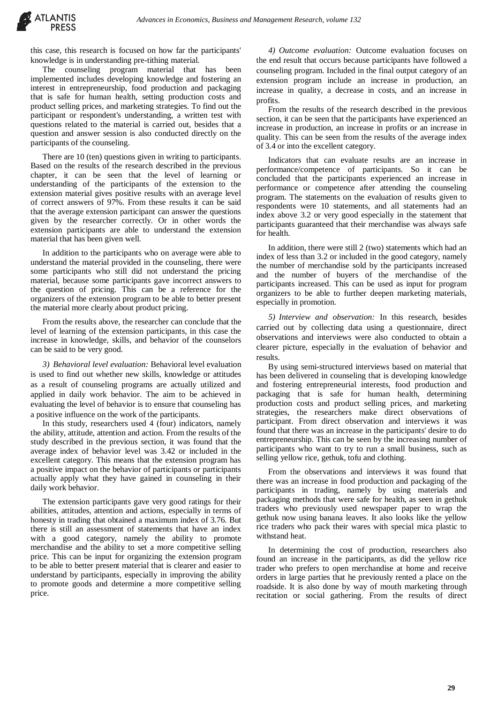

this case, this research is focused on how far the participants' knowledge is in understanding pre-tithing material.

The counseling program material that has been implemented includes developing knowledge and fostering an interest in entrepreneurship, food production and packaging that is safe for human health, setting production costs and product selling prices, and marketing strategies. To find out the participant or respondent's understanding, a written test with questions related to the material is carried out, besides that a question and answer session is also conducted directly on the participants of the counseling.

There are 10 (ten) questions given in writing to participants. Based on the results of the research described in the previous chapter, it can be seen that the level of learning or understanding of the participants of the extension to the extension material gives positive results with an average level of correct answers of 97%. From these results it can be said that the average extension participant can answer the questions given by the researcher correctly. Or in other words the extension participants are able to understand the extension material that has been given well.

In addition to the participants who on average were able to understand the material provided in the counseling, there were some participants who still did not understand the pricing material, because some participants gave incorrect answers to the question of pricing. This can be a reference for the organizers of the extension program to be able to better present the material more clearly about product pricing.

From the results above, the researcher can conclude that the level of learning of the extension participants, in this case the increase in knowledge, skills, and behavior of the counselors can be said to be very good.

*3) Behavioral level evaluation:* Behavioral level evaluation is used to find out whether new skills, knowledge or attitudes as a result of counseling programs are actually utilized and applied in daily work behavior. The aim to be achieved in evaluating the level of behavior is to ensure that counseling has a positive influence on the work of the participants.

In this study, researchers used 4 (four) indicators, namely the ability, attitude, attention and action. From the results of the study described in the previous section, it was found that the average index of behavior level was 3.42 or included in the excellent category. This means that the extension program has a positive impact on the behavior of participants or participants actually apply what they have gained in counseling in their daily work behavior.

The extension participants gave very good ratings for their abilities, attitudes, attention and actions, especially in terms of honesty in trading that obtained a maximum index of 3.76. But there is still an assessment of statements that have an index with a good category, namely the ability to promote merchandise and the ability to set a more competitive selling price. This can be input for organizing the extension program to be able to better present material that is clearer and easier to understand by participants, especially in improving the ability to promote goods and determine a more competitive selling price.

*4) Outcome evaluation:* Outcome evaluation focuses on the end result that occurs because participants have followed a counseling program. Included in the final output category of an extension program include an increase in production, an increase in quality, a decrease in costs, and an increase in profits.

From the results of the research described in the previous section, it can be seen that the participants have experienced an increase in production, an increase in profits or an increase in quality. This can be seen from the results of the average index of 3.4 or into the excellent category.

Indicators that can evaluate results are an increase in performance/competence of participants. So it can be concluded that the participants experienced an increase in performance or competence after attending the counseling program. The statements on the evaluation of results given to respondents were 10 statements, and all statements had an index above 3.2 or very good especially in the statement that participants guaranteed that their merchandise was always safe for health.

In addition, there were still 2 (two) statements which had an index of less than 3.2 or included in the good category, namely the number of merchandise sold by the participants increased and the number of buyers of the merchandise of the participants increased. This can be used as input for program organizers to be able to further deepen marketing materials, especially in promotion.

*5) Interview and observation:* In this research, besides carried out by collecting data using a questionnaire, direct observations and interviews were also conducted to obtain a clearer picture, especially in the evaluation of behavior and results.

By using semi-structured interviews based on material that has been delivered in counseling that is developing knowledge and fostering entrepreneurial interests, food production and packaging that is safe for human health, determining production costs and product selling prices, and marketing strategies, the researchers make direct observations of participant. From direct observation and interviews it was found that there was an increase in the participants' desire to do entrepreneurship. This can be seen by the increasing number of participants who want to try to run a small business, such as selling yellow rice, gethuk, tofu and clothing.

From the observations and interviews it was found that there was an increase in food production and packaging of the participants in trading, namely by using materials and packaging methods that were safe for health, as seen in gethuk traders who previously used newspaper paper to wrap the gethuk now using banana leaves. It also looks like the yellow rice traders who pack their wares with special mica plastic to withstand heat.

In determining the cost of production, researchers also found an increase in the participants, as did the yellow rice trader who prefers to open merchandise at home and receive orders in large parties that he previously rented a place on the roadside. It is also done by way of mouth marketing through recitation or social gathering. From the results of direct